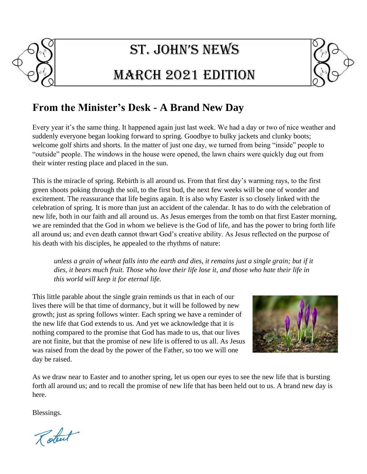

# St. John'S newS

## MarcH 2021 Edition



#### **From the Minister's Desk - A Brand New Day**

Every year it's the same thing. It happened again just last week. We had a day or two of nice weather and suddenly everyone began looking forward to spring. Goodbye to bulky jackets and clunky boots; welcome golf shirts and shorts. In the matter of just one day, we turned from being "inside" people to "outside" people. The windows in the house were opened, the lawn chairs were quickly dug out from their winter resting place and placed in the sun.

This is the miracle of spring. Rebirth is all around us. From that first day's warming rays, to the first green shoots poking through the soil, to the first bud, the next few weeks will be one of wonder and excitement. The reassurance that life begins again. It is also why Easter is so closely linked with the celebration of spring. It is more than just an accident of the calendar. It has to do with the celebration of new life, both in our faith and all around us. As Jesus emerges from the tomb on that first Easter morning, we are reminded that the God in whom we believe is the God of life, and has the power to bring forth life all around us; and even death cannot thwart God's creative ability. As Jesus reflected on the purpose of his death with his disciples, he appealed to the rhythms of nature:

*unless a grain of wheat falls into the earth and dies, it remains just a single grain; but if it dies, it bears much fruit. Those who love their life lose it, and those who hate their life in this world will keep it for eternal life.*

This little parable about the single grain reminds us that in each of our lives there will be that time of dormancy, but it will be followed by new growth; just as spring follows winter. Each spring we have a reminder of the new life that God extends to us. And yet we acknowledge that it is nothing compared to the promise that God has made to us, that our lives are not finite, but that the promise of new life is offered to us all. As Jesus was raised from the dead by the power of the Father, so too we will one day be raised.



As we draw near to Easter and to another spring, let us open our eyes to see the new life that is bursting forth all around us; and to recall the promise of new life that has been held out to us. A brand new day is here.

Blessings.

Robert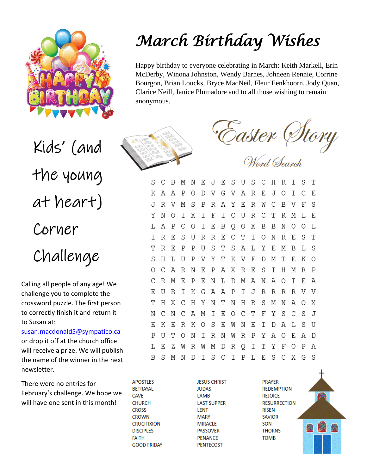

Kids' (and the young at heart) Corner Challenge

Calling all people of any age! We challenge you to complete the crossword puzzle. The first person to correctly finish it and return it to Susan at:

[susan.macdonald5@sympatico.ca](mailto:susan.macdonald5@sympatico.ca) or drop it off at the church office will receive a prize. We will publish the name of the winner in the next newsletter.

There were no entries for February's challenge. We hope we will have one sent in this month!

# *March Birthday Wishes*

Happy birthday to everyone celebrating in March: Keith Markell, Erin McDerby, Winona Johnston, Wendy Barnes, Johneen Rennie, Corrine Bourgon, Brian Loucks, Bryce MacNeil, Fleur Eenkhoorn, Jody Quan, Clarice Neill, Janice Plumadore and to all those wishing to remain anonymous.





S  $\mathcal{C}$  $\overline{B}$ Ε JES U S  $\mathcal{C}$  $H$ T M N R S K A A  $\mathbf{P}$  $\circ$ D V G V A  $\mathbb{R}$ E,  $\overline{J}$  $\Omega$  $\top$  $\mathcal{C}$ F. J  $\mathbb{R}$  $\mathbf{V}$ M S  $\mathbf{P}$ R A Y Ε  $\mathbb R$ W  $\mathcal{C}$  $\overline{B}$ V  $\mathbf{F}$ S  $\mathsf{T}$ Y N  $\Omega$  $\top$ X  $\mathsf{T}$  $\mathbb{F}$ - C  $\overline{U}$  $\mathsf{R}$  $\mathcal{C}$ ፐ R M T.  $F_{\rm c}$ A  $\mathbf B$  $\mathbf B$ T. P C  $\circ$ I E B Q 0 Χ N  $\circ$  $\Omega$ T. R E C T  $\mathbf I$  $\mathbb{T}$ T R E S U R  $\circ$ N R E S T  $\mathsf{R}$  $F_{\rm c}$ S  $\mathsf{P}$  $\mathsf{P}$  $\overline{U}$ ፐ S A L Y F. M B  $L_S$ T.  $\mathbb T$  $\overline{\mathrm{F}}$  $H$  $\overline{U}$  $\mathbf{P}$ Y K V D M T  $F_{\rm c}$ K O S V C Α R  $\mathbb N$ Ε  $\mathbf P$ A X R Ε S I H M  $R$   $P$  $\circ$ R M  $F_{\rm c}$  $\mathsf{P}$ E N L D M A N A O  $\top$ F. A C F. U  $\mathbf B$  $\top$ K G A A P  $\mathbf I$ J R R R R V V Χ  $\mathcal{C}$ H Y N  $\mathbb T$  $H$  $\mathbb R$ S М X T Η N N A  $\circ$ I E O T  $\mathbf F$ Y S S N C N - C A M C  $\mathcal{C}$  $\overline{J}$ S E  $\mathsf{T}$ D A L F. Κ Ε R K O Е W N S  $\overline{U}$  $\mathsf{P}$ U T R N W  $\mathbb R$  $\mathbf P$ Y A O E A D  $\circ$ N I T Y F L E Ζ W  $\mathbb{R}$ W M  $D$  $\mathbb R$ Q I  $\circ$ P A  $\top$ S C I P L E S C X G S B S M N D

**APOSTLES BETRAYAL CAVE CHURCH CROSS CROWN CRUCIFIXION DISCIPLES FAITH GOOD FRIDAY**  **JESUS CHRIST JUDAS** LAMB **LAST SUPPER LENT MARY MIRACLE PASSOVER PENANCE PENTECOST** 

**PRAYER REDEMPTION REJOICE RESURRECTION RISEN SAVIOR** SON **THORNS TOMB** 

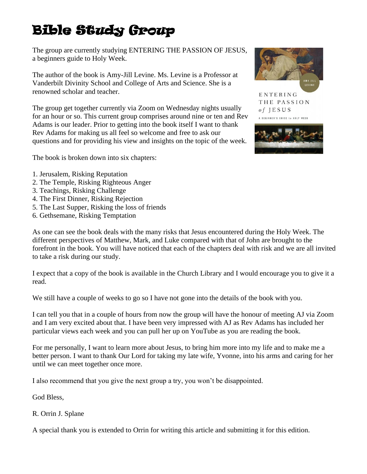## Bible Study Group

The group are currently studying ENTERING THE PASSION OF JESUS, a beginners guide to Holy Week.

The author of the book is Amy-Jill Levine. Ms. Levine is a Professor at Vanderbilt Divinity School and College of Arts and Science. She is a renowned scholar and teacher.

The group get together currently via Zoom on Wednesday nights usually for an hour or so. This current group comprises around nine or ten and Rev Adams is our leader. Prior to getting into the book itself I want to thank Rev Adams for making us all feel so welcome and free to ask our questions and for providing his view and insights on the topic of the week.

The book is broken down into six chapters:

- 1. Jerusalem, Risking Reputation
- 2. The Temple, Risking Righteous Anger
- 3. Teachings, Risking Challenge
- 4. The First Dinner, Risking Rejection
- 5. The Last Supper, Risking the loss of friends
- 6. Gethsemane, Risking Temptation

As one can see the book deals with the many risks that Jesus encountered during the Holy Week. The different perspectives of Matthew, Mark, and Luke compared with that of John are brought to the forefront in the book. You will have noticed that each of the chapters deal with risk and we are all invited to take a risk during our study.

I expect that a copy of the book is available in the Church Library and I would encourage you to give it a read.

We still have a couple of weeks to go so I have not gone into the details of the book with you.

I can tell you that in a couple of hours from now the group will have the honour of meeting AJ via Zoom and I am very excited about that. I have been very impressed with AJ as Rev Adams has included her particular views each week and you can pull her up on YouTube as you are reading the book.

For me personally, I want to learn more about Jesus, to bring him more into my life and to make me a better person. I want to thank Our Lord for taking my late wife, Yvonne, into his arms and caring for her until we can meet together once more.

I also recommend that you give the next group a try, you won't be disappointed.

God Bless,

#### R. Orrin J. Splane

A special thank you is extended to Orrin for writing this article and submitting it for this edition.



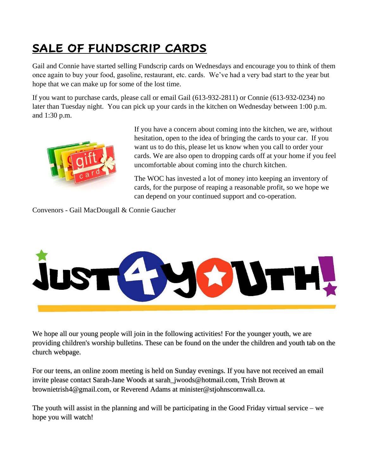### **SALE OF FUNDSCRIP CARDS**

Gail and Connie have started selling Fundscrip cards on Wednesdays and encourage you to think of them once again to buy your food, gasoline, restaurant, etc. cards. We've had a very bad start to the year but hope that we can make up for some of the lost time.

If you want to purchase cards, please call or email Gail (613-932-2811) or Connie (613-932-0234) no later than Tuesday night. You can pick up your cards in the kitchen on Wednesday between 1:00 p.m. and 1:30 p.m.



If you have a concern about coming into the kitchen, we are, without hesitation, open to the idea of bringing the cards to your car. If you want us to do this, please let us know when you call to order your cards. We are also open to dropping cards off at your home if you feel uncomfortable about coming into the church kitchen.

The WOC has invested a lot of money into keeping an inventory of cards, for the purpose of reaping a reasonable profit, so we hope we can depend on your continued support and co-operation.

Convenors - Gail MacDougall & Connie Gaucher



We hope all our young people will join in the following activities! For the younger youth, we are providing children's worship bulletins. These can be found on the under the children and youth tab on the church webpage.

For our teens, an online zoom meeting is held on Sunday evenings. If you have not received an email invite please contact Sarah-Jane Woods at [sarah\\_jwoods@hotmail.com,](mailto:sarah_jwoods@hotmail.com) Trish Brown at brownietrish4@gmail.com, or Reverend Adams at minister@stjohnscornwall.ca.

The youth will assist in the planning and will be participating in the Good Friday virtual service – we hope you will watch!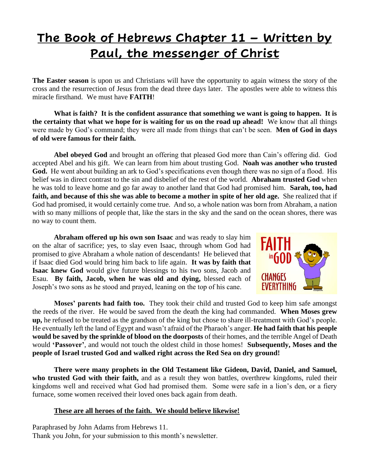### **The Book of Hebrews Chapter 11 – Written by Paul, the messenger of Christ**

**The Easter season** is upon us and Christians will have the opportunity to again witness the story of the cross and the resurrection of Jesus from the dead three days later. The apostles were able to witness this miracle firsthand. We must have **FAITH**!

**What is faith? It is the confident assurance that something we want is going to happen. It is the certainty that what we hope for is waiting for us on the road up ahead!** We know that all things were made by God's command; they were all made from things that can't be seen. **Men of God in days of old were famous for their faith.**

**Abel obeyed God** and brought an offering that pleased God more than Cain's offering did. God accepted Abel and his gift. We can learn from him about trusting God. **Noah was another who trusted God.** He went about building an ark to God's specifications even though there was no sign of a flood. His belief was in direct contrast to the sin and disbelief of the rest of the world. **Abraham trusted God** when he was told to leave home and go far away to another land that God had promised him. **Sarah, too, had faith, and because of this she was able to become a mother in spite of her old age.** She realized that if God had promised, it would certainly come true. And so, a whole nation was born from Abraham, a nation with so many millions of people that, like the stars in the sky and the sand on the ocean shores, there was no way to count them.

**Abraham offered up his own son Isaac** and was ready to slay him on the altar of sacrifice; yes, to slay even Isaac, through whom God had promised to give Abraham a whole nation of descendants! He believed that if Isaac died God would bring him back to life again. **It was by faith that Isaac knew God** would give future blessings to his two sons, Jacob and Esau. **By faith, Jacob, when he was old and dying,** blessed each of Joseph's two sons as he stood and prayed, leaning on the top of his cane.



**Moses' parents had faith too.** They took their child and trusted God to keep him safe amongst the reeds of the river. He would be saved from the death the king had commanded. **When Moses grew up,** he refused to be treated as the grandson of the king but chose to share ill-treatment with God's people. He eventually left the land of Egypt and wasn't afraid of the Pharaoh's anger. **He had faith that his people would be saved by the sprinkle of blood on the doorposts** of their homes, and the terrible Angel of Death would **'Passover'**, and would not touch the oldest child in those homes! **Subsequently, Moses and the people of Israel trusted God and walked right across the Red Sea on dry ground!** 

**There were many prophets in the Old Testament like Gideon, David, Daniel, and Samuel, who trusted God with their faith,** and as a result they won battles, overthrew kingdoms, ruled their kingdoms well and received what God had promised them. Some were safe in a lion's den, or a fiery furnace, some women received their loved ones back again from death.

#### **These are all heroes of the faith. We should believe likewise!**

Paraphrased by John Adams from Hebrews 11. Thank you John, for your submission to this month's newsletter.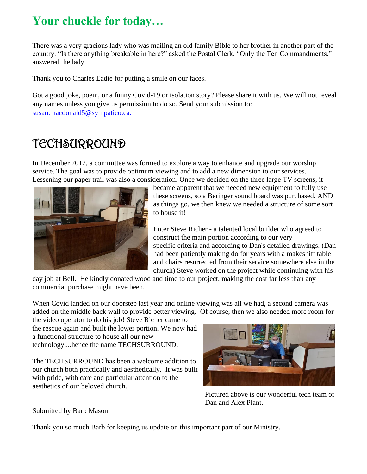### Your chuckle for today...

There was a very gracious lady who was mailing an old family Bible to her brother in another part of the country. "Is there anything breakable in here?" asked the Postal Clerk. "Only the Ten Commandments." answered the lady.

Thank you to Charles Eadie for putting a smile on our faces.

Got a good joke, poem, or a funny Covid-19 or isolation story? Please share it with us. We will not reveal any names unless you give us permission to do so. Send your submission to: [susan.macdonald5@sympatico.ca.](mailto:susan.macdonald5@sympatico.ca)

#### **TECHSURROUND**

In December 2017, a committee was formed to explore a way to enhance and upgrade our worship service. The goal was to provide optimum viewing and to add a new dimension to our services. Lessening our paper trail was also a consideration. Once we decided on the three large TV screens, it



became apparent that we needed new equipment to fully use these screens, so a Beringer sound board was purchased. AND as things go, we then knew we needed a structure of some sort to house it!

Enter Steve Richer - a talented local builder who agreed to construct the main portion according to our very specific criteria and according to Dan's detailed drawings. (Dan had been patiently making do for years with a makeshift table and chairs resurrected from their service somewhere else in the church) Steve worked on the project while continuing with his

day job at Bell. He kindly donated wood and time to our project, making the cost far less than any commercial purchase might have been.

When Covid landed on our doorstep last year and online viewing was all we had, a second camera was added on the middle back wall to provide better viewing. Of course, then we also needed more room for

the video operator to do his job! Steve Richer came to the rescue again and built the lower portion. We now had a functional structure to house all our new technology....hence the name TECHSURROUND.

The TECHSURROUND has been a welcome addition to our church both practically and aesthetically. It was built with pride, with care and particular attention to the aesthetics of our beloved church.



Pictured above is our wonderful tech team of Dan and Alex Plant.

Submitted by Barb Mason

Thank you so much Barb for keeping us update on this important part of our Ministry.